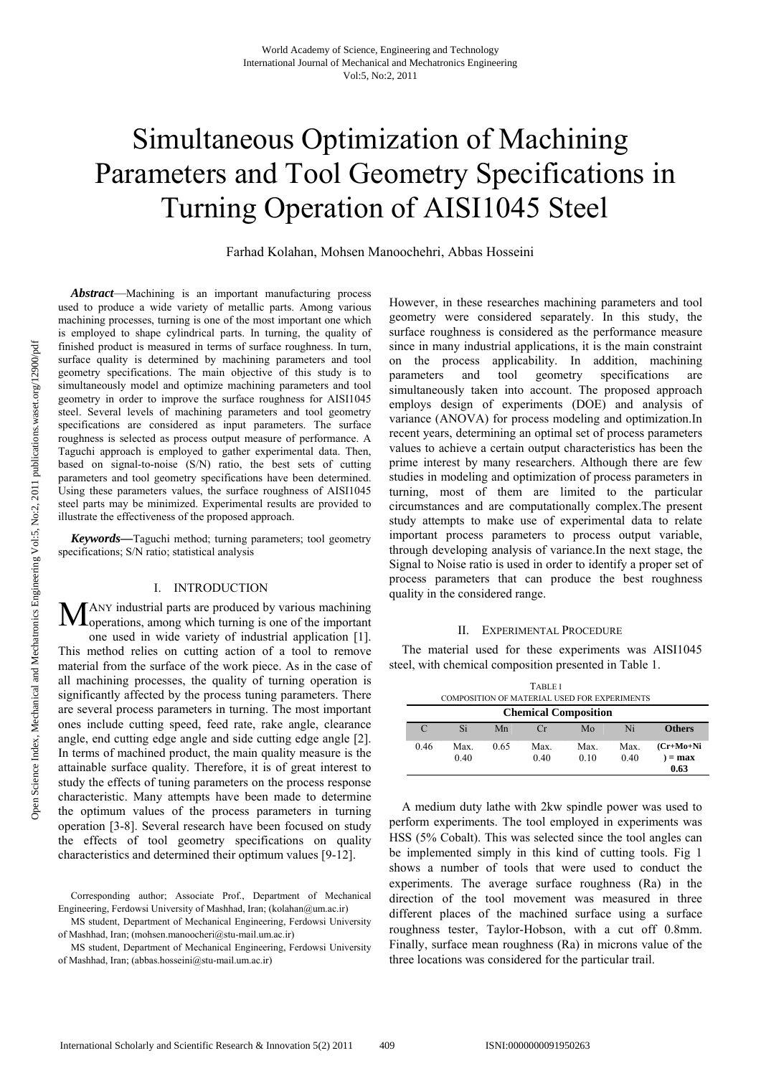# Simultaneous Optimization of Machining Parameters and Tool Geometry Specifications in Turning Operation of AISI1045 Steel

Farhad Kolahan, Mohsen Manoochehri, Abbas Hosseini

*Abstract*—Machining is an important manufacturing process used to produce a wide variety of metallic parts. Among various machining processes, turning is one of the most important one which is employed to shape cylindrical parts. In turning, the quality of finished product is measured in terms of surface roughness. In turn, surface quality is determined by machining parameters and tool geometry specifications. The main objective of this study is to simultaneously model and optimize machining parameters and tool geometry in order to improve the surface roughness for AISI1045 steel. Several levels of machining parameters and tool geometry specifications are considered as input parameters. The surface roughness is selected as process output measure of performance. A Taguchi approach is employed to gather experimental data. Then, based on signal-to-noise (S/N) ratio, the best sets of cutting parameters and tool geometry specifications have been determined. Using these parameters values, the surface roughness of AISI1045 steel parts may be minimized. Experimental results are provided to illustrate the effectiveness of the proposed approach.

*Keywords—*Taguchi method; turning parameters; tool geometry specifications; S/N ratio; statistical analysis

# I. INTRODUCTION

ANY industrial parts are produced by various machining MANY industrial parts are produced by various machining operations, among which turning is one of the important one used in wide variety of industrial application [1]. This method relies on cutting action of a tool to remove

material from the surface of the work piece. As in the case of all machining processes, the quality of turning operation is significantly affected by the process tuning parameters. There are several process parameters in turning. The most important ones include cutting speed, feed rate, rake angle, clearance angle, end cutting edge angle and side cutting edge angle [2]. In terms of machined product, the main quality measure is the attainable surface quality. Therefore, it is of great interest to study the effects of tuning parameters on the process response characteristic. Many attempts have been made to determine the optimum values of the process parameters in turning operation [3-8]. Several research have been focused on study the effects of tool geometry specifications on quality characteristics and determined their optimum values [9-12].

However, in these researches machining parameters and tool geometry were considered separately. In this study, the surface roughness is considered as the performance measure since in many industrial applications, it is the main constraint on the process applicability. In addition, machining parameters and tool geometry specifications are simultaneously taken into account. The proposed approach employs design of experiments (DOE) and analysis of variance (ANOVA) for process modeling and optimization.In recent years, determining an optimal set of process parameters values to achieve a certain output characteristics has been the prime interest by many researchers. Although there are few studies in modeling and optimization of process parameters in turning, most of them are limited to the particular circumstances and are computationally complex.The present study attempts to make use of experimental data to relate important process parameters to process output variable, through developing analysis of variance.In the next stage, the Signal to Noise ratio is used in order to identify a proper set of process parameters that can produce the best roughness quality in the considered range.

#### II. EXPERIMENTAL PROCEDURE

The material used for these experiments was AISI1045 steel, with chemical composition presented in Table 1.

| <b>TABLE I</b><br>COMPOSITION OF MATERIAL USED FOR EXPERIMENTS |                             |      |              |              |              |                                |  |  |
|----------------------------------------------------------------|-----------------------------|------|--------------|--------------|--------------|--------------------------------|--|--|
|                                                                | <b>Chemical Composition</b> |      |              |              |              |                                |  |  |
| $\mathcal{C}$                                                  | Si                          | Mn   | Cr           | Mo           | Ni           | <b>Others</b>                  |  |  |
| 0.46                                                           | Max.<br>0.40                | 0.65 | Max.<br>0.40 | Max.<br>0.10 | Max.<br>0.40 | $(Cr+Mo+Ni$<br>$=$ max<br>0.63 |  |  |

A medium duty lathe with 2kw spindle power was used to perform experiments. The tool employed in experiments was HSS (5% Cobalt). This was selected since the tool angles can be implemented simply in this kind of cutting tools. Fig 1 shows a number of tools that were used to conduct the experiments. The average surface roughness (Ra) in the direction of the tool movement was measured in three different places of the machined surface using a surface roughness tester, Taylor-Hobson, with a cut off 0.8mm. Finally, surface mean roughness (Ra) in microns value of the three locations was considered for the particular trail.

Corresponding author; Associate Prof., Department of Mechanical Engineering, Ferdowsi University of Mashhad, Iran; (kolahan@um.ac.ir)

MS student, Department of Mechanical Engineering, Ferdowsi University of Mashhad, Iran; (mohsen.manoocheri@stu-mail.um.ac.ir)

MS student, Department of Mechanical Engineering, Ferdowsi University of Mashhad, Iran; (abbas.hosseini@stu-mail.um.ac.ir)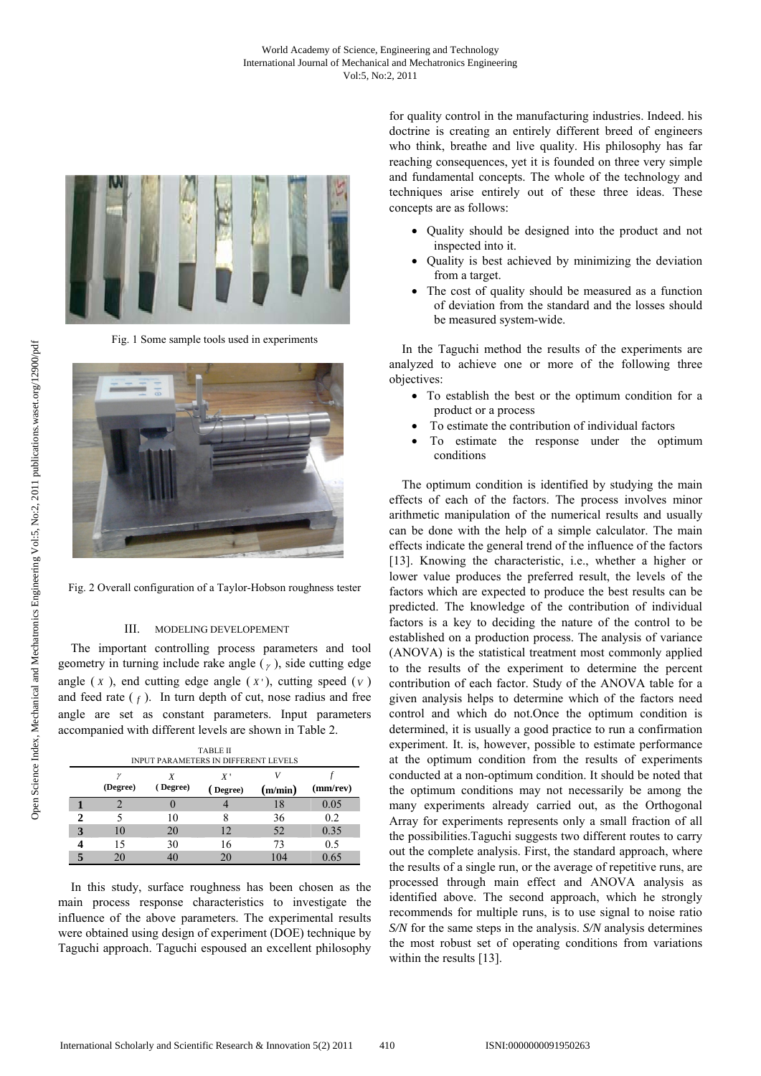

Fig. 1 Some sample tools used in experiments



Fig. 2 Overall configuration of a Taylor-Hobson roughness tester

## III. MODELING DEVELOPEMENT

The important controlling process parameters and tool geometry in turning include rake angle  $(y)$ , side cutting edge angle  $(X)$ , end cutting edge angle  $(X')$ , cutting speed  $(Y)$ and feed rate  $(f)$ . In turn depth of cut, nose radius and free angle are set as constant parameters. Input parameters accompanied with different levels are shown in Table 2.

|   | <b>TABLE II</b><br><b>INPUT PARAMETERS IN DIFFERENT LEVELS</b> |               |                          |         |                |  |  |  |
|---|----------------------------------------------------------------|---------------|--------------------------|---------|----------------|--|--|--|
|   | (Degree)                                                       | X<br>(Degree) | $X^{\prime}$<br>(Degree) | (m/min) | $(mm$ /rev $)$ |  |  |  |
|   |                                                                |               |                          | 18      | 0.05           |  |  |  |
|   |                                                                | 10            | 8                        | 36      | 0.2            |  |  |  |
| 3 | 10                                                             | 20            | 12                       | 52      | 0.35           |  |  |  |
|   | 15                                                             | 30            | 16                       | 73      | 0.5            |  |  |  |
|   | 20                                                             | 40            | 20                       | 104     | 0.65           |  |  |  |

In this study, surface roughness has been chosen as the main process response characteristics to investigate the influence of the above parameters. The experimental results were obtained using design of experiment (DOE) technique by Taguchi approach. Taguchi espoused an excellent philosophy for quality control in the manufacturing industries. Indeed. his doctrine is creating an entirely different breed of engineers who think, breathe and live quality. His philosophy has far reaching consequences, yet it is founded on three very simple and fundamental concepts. The whole of the technology and techniques arise entirely out of these three ideas. These concepts are as follows:

- Quality should be designed into the product and not inspected into it.
- Quality is best achieved by minimizing the deviation from a target.
- The cost of quality should be measured as a function of deviation from the standard and the losses should be measured system-wide.

In the Taguchi method the results of the experiments are analyzed to achieve one or more of the following three objectives:

- To establish the best or the optimum condition for a product or a process
- To estimate the contribution of individual factors
- To estimate the response under the optimum conditions

The optimum condition is identified by studying the main effects of each of the factors. The process involves minor arithmetic manipulation of the numerical results and usually can be done with the help of a simple calculator. The main effects indicate the general trend of the influence of the factors [13]. Knowing the characteristic, i.e., whether a higher or lower value produces the preferred result, the levels of the factors which are expected to produce the best results can be predicted. The knowledge of the contribution of individual factors is a key to deciding the nature of the control to be established on a production process. The analysis of variance (ANOVA) is the statistical treatment most commonly applied to the results of the experiment to determine the percent contribution of each factor. Study of the ANOVA table for a given analysis helps to determine which of the factors need control and which do not.Once the optimum condition is determined, it is usually a good practice to run a confirmation experiment. It. is, however, possible to estimate performance at the optimum condition from the results of experiments conducted at a non-optimum condition. It should be noted that the optimum conditions may not necessarily be among the many experiments already carried out, as the Orthogonal Array for experiments represents only a small fraction of all the possibilities.Taguchi suggests two different routes to carry out the complete analysis. First, the standard approach, where the results of a single run, or the average of repetitive runs, are processed through main effect and ANOVA analysis as identified above. The second approach, which he strongly recommends for multiple runs, is to use signal to noise ratio *S/N* for the same steps in the analysis. *S/N* analysis determines the most robust set of operating conditions from variations within the results [13].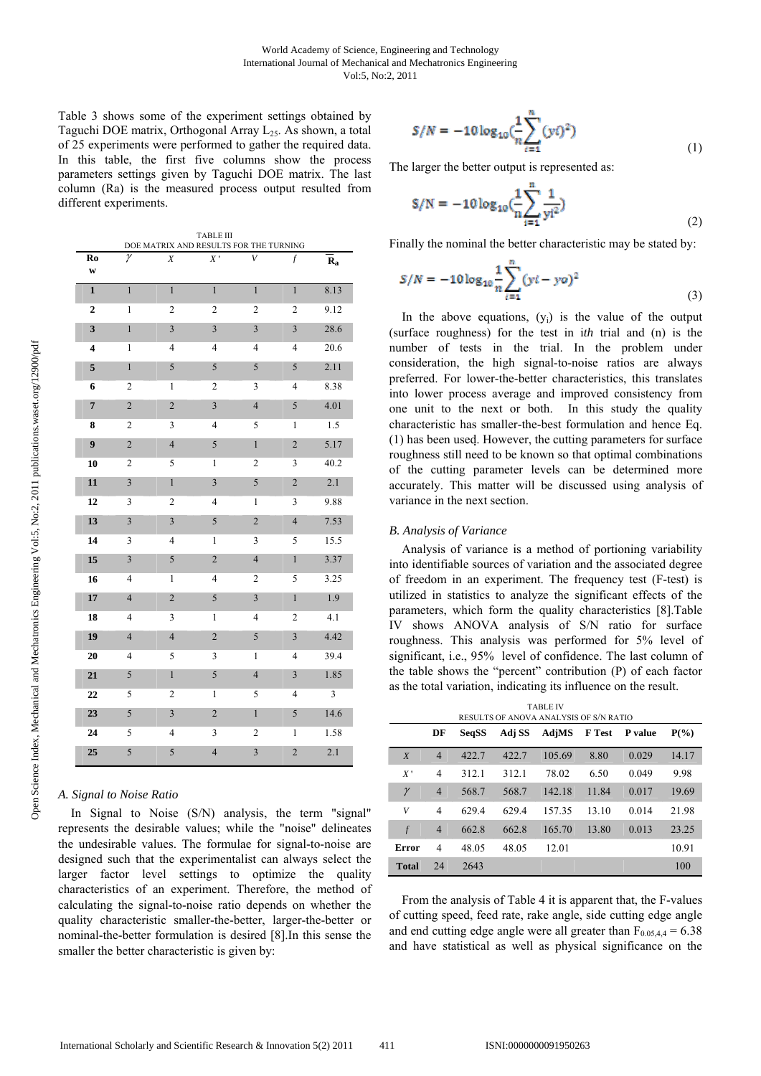Table 3 shows some of the experiment settings obtained by Taguchi DOE matrix, Orthogonal Array L<sub>25</sub>. As shown, a total of 25 experiments were performed to gather the required data. In this table, the first five columns show the process parameters settings given by Taguchi DOE matrix. The last column (Ra) is the measured process output resulted from different experiments.

|                         | TABLE III<br>DOE MATRIX AND RESULTS FOR THE TURNING |                         |                          |                         |                         |         |  |  |
|-------------------------|-----------------------------------------------------|-------------------------|--------------------------|-------------------------|-------------------------|---------|--|--|
| R <sub>0</sub><br>W     | γ                                                   | X                       | $\overline{X}$           | V                       | f                       | $R_{a}$ |  |  |
| $\mathbf{1}$            | $\mathbf{1}$                                        | $\overline{1}$          | $\mathbf{1}$             | $\mathbf{1}$            | $\mathbf{1}$            | 8.13    |  |  |
| $\boldsymbol{2}$        | 1                                                   | $\overline{c}$          | $\overline{c}$           | $\overline{c}$          | $\boldsymbol{2}$        | 9.12    |  |  |
| $\overline{\mathbf{3}}$ | $\mathbf{1}$                                        | $\overline{\mathbf{3}}$ | $\overline{\mathbf{3}}$  | $\overline{\mathbf{3}}$ | $\overline{\mathbf{3}}$ | 28.6    |  |  |
| $\overline{\bf 4}$      | $\mathbf{1}$                                        | $\overline{4}$          | $\overline{\mathbf{4}}$  | $\overline{4}$          | $\overline{4}$          | 20.6    |  |  |
| 5                       | $\mathbf{1}$                                        | 5                       | 5                        | 5                       | 5                       | 2.11    |  |  |
| 6                       | $\overline{c}$                                      | $\mathbf{1}$            | $\overline{c}$           | 3                       | 4                       | 8.38    |  |  |
| $\overline{7}$          | $\overline{c}$                                      | $\overline{c}$          | $\overline{\mathbf{3}}$  | $\overline{4}$          | 5                       | 4.01    |  |  |
| 8                       | $\overline{c}$                                      | 3                       | $\overline{\mathcal{L}}$ | 5                       | $\mathbf{1}$            | 1.5     |  |  |
| $\boldsymbol{9}$        | $\overline{c}$                                      | $\overline{4}$          | 5                        | $\mathbf{1}$            | $\overline{c}$          | 5.17    |  |  |
| 10                      | $\overline{c}$                                      | 5                       | 1                        | $\boldsymbol{2}$        | 3                       | 40.2    |  |  |
| 11                      | 3                                                   | $\mathbf{1}$            | 3                        | 5                       | $\overline{2}$          | 2.1     |  |  |
| 12                      | 3                                                   | $\overline{\mathbf{c}}$ | $\overline{\mathbf{4}}$  | $\mathbf{1}$            | 3                       | 9.88    |  |  |
| 13                      | $\mathfrak{Z}$                                      | 3                       | 5                        | $\overline{c}$          | $\overline{4}$          | 7.53    |  |  |
| 14                      | 3                                                   | $\overline{4}$          | $\mathbf{1}$             | 3                       | 5                       | 15.5    |  |  |
| 15                      | $\overline{\mathbf{3}}$                             | 5                       | $\overline{2}$           | $\overline{4}$          | $\mathbf{1}$            | 3.37    |  |  |
| 16                      | 4                                                   | $\mathbf{1}$            | $\overline{\mathcal{L}}$ | $\overline{2}$          | 5                       | 3.25    |  |  |
| 17                      | $\overline{4}$                                      | $\overline{c}$          | 5                        | $\overline{\mathbf{3}}$ | $\mathbf{1}$            | 1.9     |  |  |
| 18                      | 4                                                   | 3                       | 1                        | 4                       | $\overline{\mathbf{c}}$ | 4.1     |  |  |
| 19                      | $\overline{4}$                                      | $\overline{4}$          | $\overline{c}$           | 5                       | 3                       | 4.42    |  |  |
| 20                      | 4                                                   | 5                       | 3                        | $\mathbf{1}$            | $\overline{4}$          | 39.4    |  |  |
| 21                      | $\sqrt{5}$                                          | $\,1$                   | 5                        | $\overline{4}$          | $\overline{\mathbf{3}}$ | 1.85    |  |  |
| 22                      | 5                                                   | $\overline{c}$          | $\,1$                    | 5                       | $\overline{4}$          | 3       |  |  |
| 23                      | 5                                                   | $\overline{\mathbf{3}}$ | $\overline{c}$           | $\,1$                   | 5                       | 14.6    |  |  |
| 24                      | 5                                                   | $\overline{4}$          | 3                        | $\boldsymbol{2}$        | $\mathbf{1}$            | 1.58    |  |  |
| 25                      | 5                                                   | 5                       | $\overline{4}$           | $\overline{\mathbf{3}}$ | $\overline{c}$          | 2.1     |  |  |

## *A. Signal to Noise Ratio*

In Signal to Noise (S/N) analysis, the term "signal" represents the desirable values; while the "noise" delineates the undesirable values. The formulae for signal-to-noise are designed such that the experimentalist can always select the larger factor level settings to optimize the quality characteristics of an experiment. Therefore, the method of calculating the signal-to-noise ratio depends on whether the quality characteristic smaller-the-better, larger-the-better or nominal-the-better formulation is desired [8].In this sense the smaller the better characteristic is given by:

$$
S/N = -10\log_{10}(\frac{1}{n}\sum_{i=1}^{n}(y_i)^2)
$$
 (1)

The larger the better output is represented as:

$$
\mathbf{S/N} = -10\log_{10}\left(\frac{1}{n}\sum_{i=1}^{n}\frac{1}{\mathbf{y}i^{2}}\right)
$$
 (2)

Finally the nominal the better characteristic may be stated by:

$$
S/N = -10\log_{10}\frac{1}{n}\sum_{i=1}^{n}(yi - yo)^2\tag{3}
$$

In the above equations,  $(y_i)$  is the value of the output (surface roughness) for the test in i*th* trial and (n) is the number of tests in the trial. In the problem under consideration, the high signal-to-noise ratios are always preferred. For lower-the-better characteristics, this translates into lower process average and improved consistency from one unit to the next or both. In this study the quality characteristic has smaller-the-best formulation and hence Eq. (1) has been used. However, the cutting parameters for surface roughness still need to be known so that optimal combinations of the cutting parameter levels can be determined more accurately. This matter will be discussed using analysis of variance in the next section.

## *B. Analysis of Variance*

Analysis of variance is a method of portioning variability into identifiable sources of variation and the associated degree of freedom in an experiment. The frequency test (F-test) is utilized in statistics to analyze the significant effects of the parameters, which form the quality characteristics [8].Table IV shows ANOVA analysis of S/N ratio for surface roughness. This analysis was performed for 5% level of significant, i.e., 95% level of confidence. The last column of the table shows the "percent" contribution (P) of each factor as the total variation, indicating its influence on the result.

| <b>TABLE IV</b><br>RESULTS OF ANOVA ANALYSIS OF S/N RATIO |                |              |        |        |               |         |         |  |
|-----------------------------------------------------------|----------------|--------------|--------|--------|---------------|---------|---------|--|
|                                                           | DF             | <b>SeqSS</b> | Adj SS | AdjMS  | <b>F</b> Test | P value | $P(\%)$ |  |
| $\boldsymbol{X}$                                          | $\overline{4}$ | 422.7        | 422.7  | 105.69 | 8.80          | 0.029   | 14.17   |  |
| X'                                                        | 4              | 312.1        | 312.1  | 78.02  | 6.50          | 0.049   | 9.98    |  |
| $\gamma$                                                  | $\overline{4}$ | 568.7        | 568.7  | 142.18 | 11.84         | 0.017   | 19.69   |  |
| V                                                         | 4              | 629.4        | 629.4  | 157.35 | 13.10         | 0.014   | 21.98   |  |
| $\overline{f}$                                            | $\overline{4}$ | 662.8        | 662.8  | 165.70 | 13.80         | 0.013   | 23.25   |  |
| Error                                                     | 4              | 48.05        | 48.05  | 12.01  |               |         | 10.91   |  |
| <b>Total</b>                                              | 24             | 2643         |        |        |               |         | 100     |  |

From the analysis of Table 4 it is apparent that, the F-values of cutting speed, feed rate, rake angle, side cutting edge angle and end cutting edge angle were all greater than  $F_{0.05,44} = 6.38$ and have statistical as well as physical significance on the